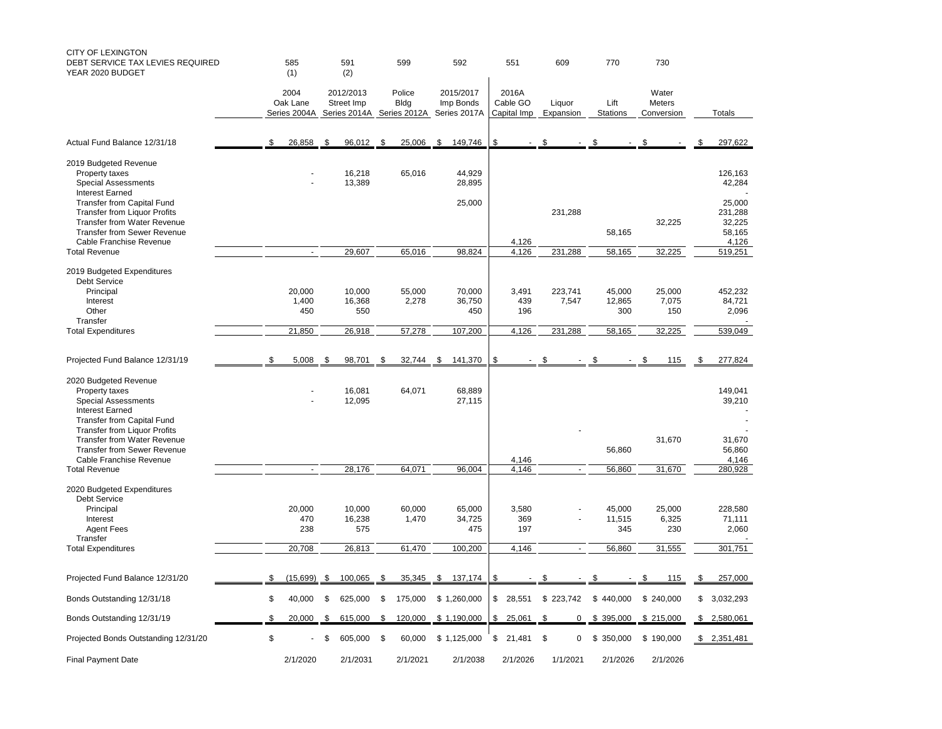| CITY OF LEXINGTON<br>DEBT SERVICE TAX LEVIES REQUIRED<br>YEAR 2020 BUDGET                                                                                                   | 585<br>(1)<br>2004<br>Oak Lane<br>Series 2004A |                        | 591<br>(2)<br>2012/2013<br>Street Imp<br>Series 2014A |                         | 599<br>Police<br><b>Bldg</b><br>Series 2012A |                 | 592                                    | 551<br>2016A<br>Cable GO<br>Capital Imp |                          | 609                 | 770                     | 730                           |                                      |
|-----------------------------------------------------------------------------------------------------------------------------------------------------------------------------|------------------------------------------------|------------------------|-------------------------------------------------------|-------------------------|----------------------------------------------|-----------------|----------------------------------------|-----------------------------------------|--------------------------|---------------------|-------------------------|-------------------------------|--------------------------------------|
|                                                                                                                                                                             |                                                |                        |                                                       |                         |                                              |                 | 2015/2017<br>Imp Bonds<br>Series 2017A |                                         |                          | Liquor<br>Expansion | Lift<br><b>Stations</b> | Water<br>Meters<br>Conversion | Totals                               |
| Actual Fund Balance 12/31/18                                                                                                                                                | \$                                             | 26,858                 | \$                                                    | 96,012                  | \$                                           | 25,006          | \$<br>149,746                          | \$                                      |                          |                     |                         |                               | \$<br>297,622                        |
| 2019 Budgeted Revenue<br>Property taxes<br><b>Special Assessments</b><br><b>Interest Earned</b><br>Transfer from Capital Fund                                               |                                                |                        |                                                       | 16,218<br>13,389        |                                              | 65,016          | 44,929<br>28,895<br>25,000             |                                         |                          |                     |                         |                               | 126,163<br>42,284<br>25,000          |
| <b>Transfer from Liquor Profits</b><br>Transfer from Water Revenue<br><b>Transfer from Sewer Revenue</b><br>Cable Franchise Revenue                                         |                                                |                        |                                                       |                         |                                              |                 |                                        |                                         | 4,126                    | 231,288             | 58,165                  | 32,225                        | 231,288<br>32,225<br>58,165<br>4,126 |
| <b>Total Revenue</b>                                                                                                                                                        |                                                | $\omega$               |                                                       | 29,607                  |                                              | 65,016          | 98,824                                 |                                         | 4,126                    | 231,288             | 58,165                  | 32,225                        | 519,251                              |
| 2019 Budgeted Expenditures<br>Debt Service<br>Principal<br>Interest<br>Other<br>Transfer                                                                                    |                                                | 20,000<br>1,400<br>450 |                                                       | 10,000<br>16,368<br>550 |                                              | 55,000<br>2,278 | 70,000<br>36,750<br>450                |                                         | 3,491<br>439<br>196      | 223,741<br>7,547    | 45,000<br>12,865<br>300 | 25,000<br>7,075<br>150        | 452,232<br>84,721<br>2,096           |
| <b>Total Expenditures</b>                                                                                                                                                   |                                                | 21,850                 |                                                       | 26,918                  |                                              | 57,278          | 107,200                                |                                         | 4,126                    | 231,288             | 58,165                  | 32,225                        | 539,049                              |
|                                                                                                                                                                             |                                                |                        |                                                       |                         |                                              |                 |                                        |                                         |                          |                     |                         |                               |                                      |
| Projected Fund Balance 12/31/19                                                                                                                                             | \$.                                            | 5,008                  | \$.                                                   | 98,701                  | \$                                           | 32.744          | 141,370<br>S.                          | \$                                      |                          | \$                  | \$                      | \$<br>115                     | \$<br>277,824                        |
| 2020 Budgeted Revenue<br>Property taxes<br><b>Special Assessments</b><br><b>Interest Earned</b><br><b>Transfer from Capital Fund</b><br><b>Transfer from Liquor Profits</b> |                                                |                        |                                                       | 16,081<br>12,095        |                                              | 64,071          | 68,889<br>27,115                       |                                         |                          |                     |                         |                               | 149,041<br>39,210                    |
| <b>Transfer from Water Revenue</b><br><b>Transfer from Sewer Revenue</b><br>Cable Franchise Revenue                                                                         |                                                |                        |                                                       |                         |                                              |                 |                                        |                                         | 4,146                    |                     | 56,860                  | 31,670                        | 31,670<br>56,860<br>4,146            |
| <b>Total Revenue</b>                                                                                                                                                        |                                                |                        |                                                       | 28,176                  |                                              | 64,071          | 96,004                                 |                                         | 4.146                    |                     | 56,860                  | 31,670                        | 280,928                              |
| 2020 Budgeted Expenditures<br>Debt Service<br>Principal<br>Interest<br><b>Agent Fees</b><br>Transfer                                                                        |                                                | 20,000<br>470<br>238   |                                                       | 10,000<br>16,238<br>575 |                                              | 60,000<br>1,470 | 65,000<br>34,725<br>475                |                                         | 3,580<br>369<br>197      |                     | 45,000<br>11,515<br>345 | 25,000<br>6,325<br>230        | 228,580<br>71,111<br>2,060           |
| <b>Total Expenditures</b>                                                                                                                                                   |                                                | 20,708                 |                                                       | 26,813                  |                                              | 61,470          | 100,200                                |                                         | 4,146                    | ÷,                  | 56,860                  | 31,555                        | 301,751                              |
|                                                                                                                                                                             |                                                |                        |                                                       |                         |                                              |                 |                                        |                                         |                          |                     |                         |                               |                                      |
| Projected Fund Balance 12/31/20                                                                                                                                             | \$                                             | (15,699)               | \$                                                    | 100,065                 | \$                                           | 35,345          | \$ 137,174                             | \$                                      | $\overline{\phantom{a}}$ | \$                  | \$                      | \$<br>115                     | \$<br>257,000                        |
| Bonds Outstanding 12/31/18                                                                                                                                                  | \$                                             | 40,000                 | \$                                                    | 625,000                 | \$                                           | 175,000         | \$1,260,000                            | \$                                      | 28,551                   | \$223,742           | \$440,000               | \$240,000                     | \$<br>3,032,293                      |
| Bonds Outstanding 12/31/19                                                                                                                                                  | \$                                             | 20,000                 | \$                                                    | 615,000                 | \$                                           | 120,000         | \$1,190,000                            | \$                                      | 25,061                   | 0<br>\$             | \$ 395,000              | \$215,000                     | \$<br>2,580,061                      |
| Projected Bonds Outstanding 12/31/20                                                                                                                                        | \$                                             |                        | \$                                                    | 605,000                 | - \$                                         | 60,000          | \$1,125,000                            | \$                                      | 21,481                   | \$<br>0             | \$<br>350,000           | \$190,000                     | \$2,351,481                          |
| <b>Final Payment Date</b>                                                                                                                                                   |                                                | 2/1/2020               |                                                       | 2/1/2031                |                                              | 2/1/2021        | 2/1/2038                               |                                         | 2/1/2026                 | 1/1/2021            | 2/1/2026                | 2/1/2026                      |                                      |